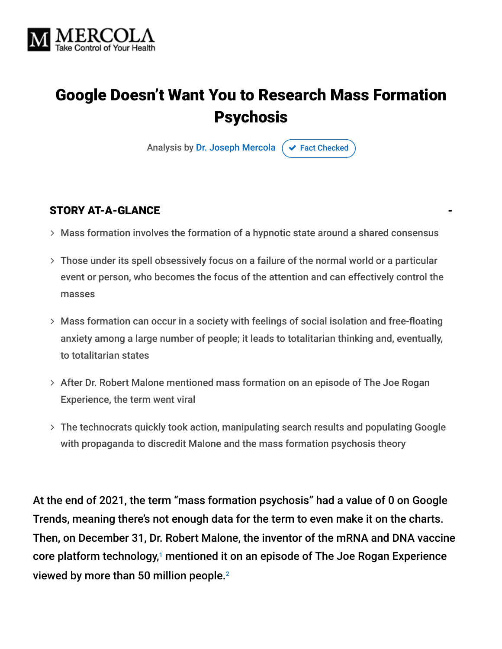

# Google Doesn't Want You to Research Mass Formation Psychosis

Analysis by [Dr. Joseph Mercola](https://www.mercola.com/forms/background.htm)  $\sigma$  [Fact Checked](javascript:void(0))

#### STORY AT-A-GLANCE

- Mass formation involves the formation of a hypnotic state around a shared consensus
- Those under its spell obsessively focus on a failure of the normal world or a particular event or person, who becomes the focus of the attention and can effectively control the masses
- Mass formation can occur in a society with feelings of social isolation and free-floating anxiety among a large number of people; it leads to totalitarian thinking and, eventually, to totalitarian states
- After Dr. Robert Malone mentioned mass formation on an episode of The Joe Rogan Experience, the term went viral
- The technocrats quickly took action, manipulating search results and populating Google with propaganda to discredit Malone and the mass formation psychosis theory

At the end of 2021, the term "mass formation psychosis" had a value of 0 on Google Trends, meaning there's not enough data for the term to even make it on the charts. Then, on December 31, Dr. Robert Malone, the inventor of the mRNA and DNA vaccine core platform technology,<sup>1</sup> mentioned it on an episode of The Joe Rogan Experience viewed by more than 50 million people. 2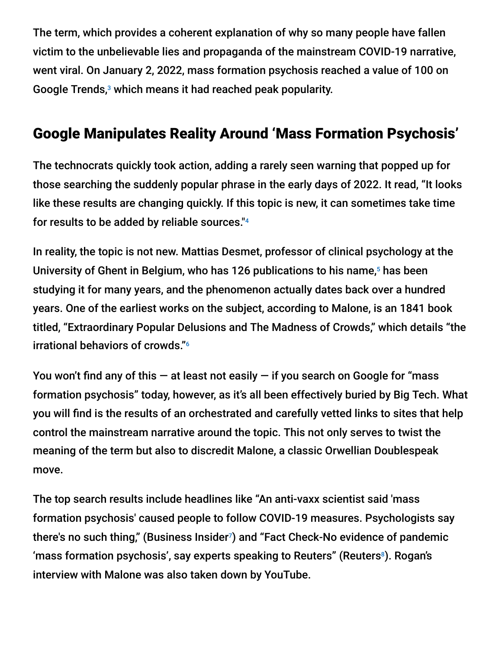The term, which provides a coherent explanation of why so many people have fallen victim to the unbelievable lies and propaganda of the mainstream COVID-19 narrative, went viral. On January 2, 2022, mass formation psychosis reached a value of 100 on Google Trends,<sup>3</sup> which means it had reached peak popularity.

# Google Manipulates Reality Around 'Mass Formation Psychosis'

The technocrats quickly took action, adding a rarely seen warning that popped up for those searching the suddenly popular phrase in the early days of 2022. It read, "It looks like these results are changing quickly. If this topic is new, it can sometimes take time for results to be added by reliable sources." 4

In reality, the topic is not new. Mattias Desmet, professor of clinical psychology at the University of Ghent in Belgium, who has 126 publications to his name,<sup>5</sup> has been studying it for many years, and the phenomenon actually dates back over a hundred years. One of the earliest works on the subject, according to Malone, is an 1841 book titled, "Extraordinary Popular Delusions and The Madness of Crowds," which details "the irrational behaviors of crowds." 6

You won't find any of this  $-$  at least not easily  $-$  if you search on Google for "mass" formation psychosis" today, however, as it's all been effectively buried by Big Tech. What you will find is the results of an orchestrated and carefully vetted links to sites that help control the mainstream narrative around the topic. This not only serves to twist the meaning of the term but also to discredit Malone, a classic Orwellian Doublespeak move.

The top search results include headlines like "An anti-vaxx scientist said 'mass formation psychosis' caused people to follow COVID-19 measures. Psychologists say there's no such thing," (Business Insider<sup>7</sup>) and "Fact Check-No evidence of pandemic 'mass formation psychosis', say experts speaking to Reuters" (Reuters $^{\circ}$ ). Rogan's interview with Malone was also taken down by YouTube.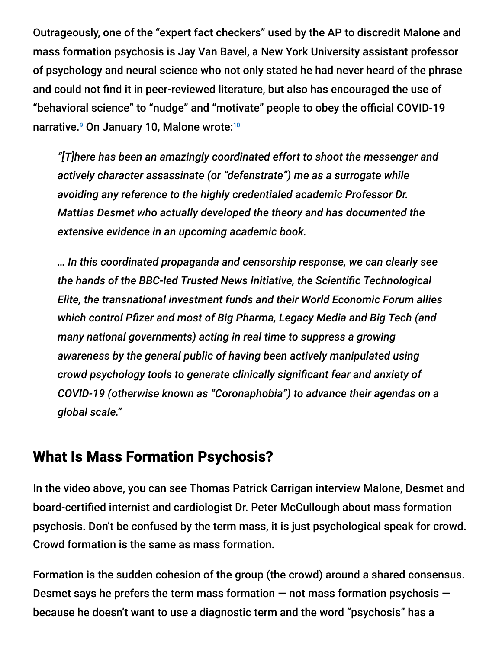Outrageously, one of the "expert fact checkers" used by the AP to discredit Malone and mass formation psychosis is Jay Van Bavel, a New York University assistant professor of psychology and neural science who not only stated he had never heard of the phrase and could not find it in peer-reviewed literature, but also has encouraged the use of "behavioral science" to "nudge" and "motivate" people to obey the official COVID-19 narrative.<sup>9</sup> On January 10, Malone wrote:<sup>10</sup>

*"[T]here has been an amazingly coordinated effort to shoot the messenger and actively character assassinate (or "defenstrate") me as a surrogate while avoiding any reference to the highly credentialed academic Professor Dr. Mattias Desmet who actually developed the theory and has documented the extensive evidence in an upcoming academic book.*

*… In this coordinated propaganda and censorship response, we can clearly see the hands of the BBC-led Trusted News Initiative, the Scientific Technological Elite, the transnational investment funds and their World Economic Forum allies which control Pfizer and most of Big Pharma, Legacy Media and Big Tech (and many national governments) acting in real time to suppress a growing awareness by the general public of having been actively manipulated using crowd psychology tools to generate clinically significant fear and anxiety of COVID-19 (otherwise known as "Coronaphobia") to advance their agendas on a global scale."*

#### What Is Mass Formation Psychosis?

In the video above, you can see Thomas Patrick Carrigan interview Malone, Desmet and board-certified internist and cardiologist Dr. Peter McCullough about mass formation psychosis. Don't be confused by the term mass, it is just psychological speak for crowd. Crowd formation is the same as mass formation.

Formation is the sudden cohesion of the group (the crowd) around a shared consensus. Desmet says he prefers the term mass formation  $-$  not mass formation psychosis  $$ because he doesn't want to use a diagnostic term and the word "psychosis" has a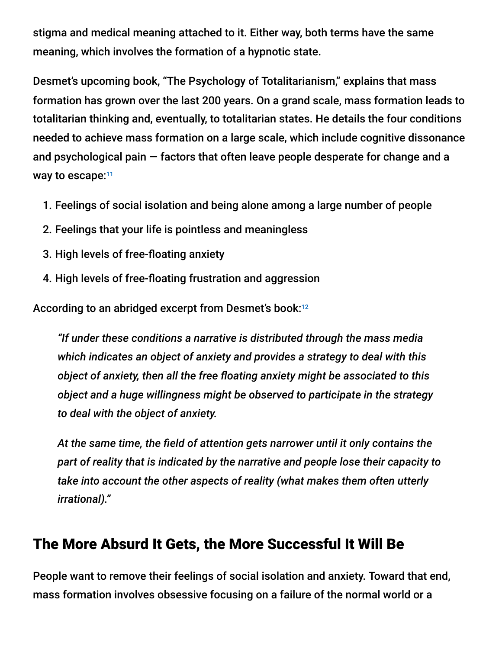stigma and medical meaning attached to it. Either way, both terms have the same meaning, which involves the formation of a hypnotic state.

Desmet's upcoming book, "The Psychology of Totalitarianism," explains that mass formation has grown over the last 200 years. On a grand scale, mass formation leads to totalitarian thinking and, eventually, to totalitarian states. He details the four conditions needed to achieve mass formation on a large scale, which include cognitive dissonance and psychological pain — factors that often leave people desperate for change and a way to escape:<sup>11</sup>

- 1. Feelings of social isolation and being alone among a large number of people
- 2. Feelings that your life is pointless and meaningless
- 3. High levels of free-floating anxiety
- 4. High levels of free-floating frustration and aggression

According to an abridged excerpt from Desmet's book: 12

*"If under these conditions a narrative is distributed through the mass media which indicates an object of anxiety and provides a strategy to deal with this object of anxiety, then all the free floating anxiety might be associated to this object and a huge willingness might be observed to participate in the strategy to deal with the object of anxiety.*

*At the same time, the field of attention gets narrower until it only contains the part of reality that is indicated by the narrative and people lose their capacity to take into account the other aspects of reality (what makes them often utterly irrational)."*

# The More Absurd It Gets, the More Successful It Will Be

People want to remove their feelings of social isolation and anxiety. Toward that end, mass formation involves obsessive focusing on a failure of the normal world or a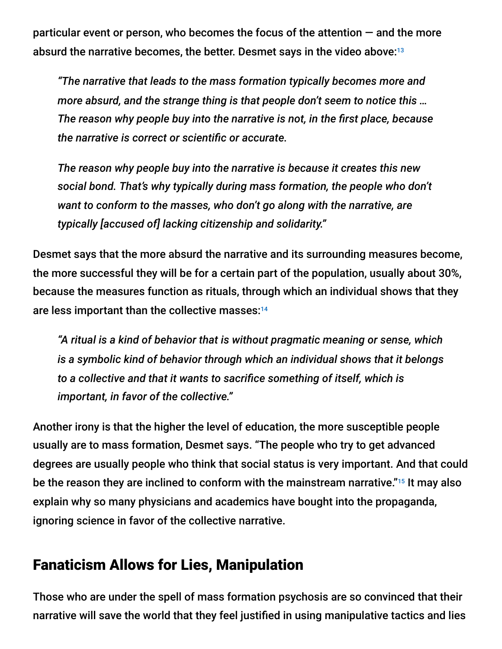particular event or person, who becomes the focus of the attention  $-$  and the more absurd the narrative becomes, the better. Desmet says in the video above: 13

*"The narrative that leads to the mass formation typically becomes more and more absurd, and the strange thing is that people don't seem to notice this … The reason why people buy into the narrative is not, in the first place, because the narrative is correct or scientific or accurate.*

*The reason why people buy into the narrative is because it creates this new social bond. That's why typically during mass formation, the people who don't want to conform to the masses, who don't go along with the narrative, are typically [accused of] lacking citizenship and solidarity."*

Desmet says that the more absurd the narrative and its surrounding measures become, the more successful they will be for a certain part of the population, usually about 30%, because the measures function as rituals, through which an individual shows that they are less important than the collective masses: 14

*"A ritual is a kind of behavior that is without pragmatic meaning or sense, which is a symbolic kind of behavior through which an individual shows that it belongs to a collective and that it wants to sacrifice something of itself, which is important, in favor of the collective."*

Another irony is that the higher the level of education, the more susceptible people usually are to mass formation, Desmet says. "The people who try to get advanced degrees are usually people who think that social status is very important. And that could be the reason they are inclined to conform with the mainstream narrative."<sup>15</sup> It may also explain why so many physicians and academics have bought into the propaganda, ignoring science in favor of the collective narrative.

### Fanaticism Allows for Lies, Manipulation

Those who are under the spell of mass formation psychosis are so convinced that their narrative will save the world that they feel justified in using manipulative tactics and lies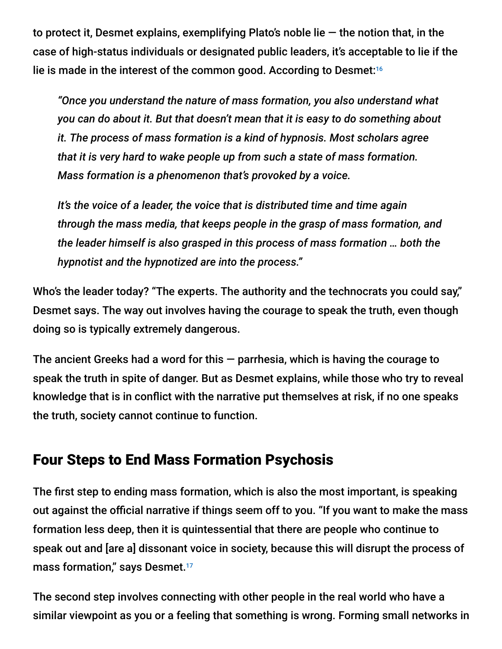to protect it, Desmet explains, exemplifying Plato's noble lie  $-$  the notion that, in the case of high-status individuals or designated public leaders, it's acceptable to lie if the lie is made in the interest of the common good. According to Desmet: 16

*"Once you understand the nature of mass formation, you also understand what you can do about it. But that doesn't mean that it is easy to do something about it. The process of mass formation is a kind of hypnosis. Most scholars agree that it is very hard to wake people up from such a state of mass formation. Mass formation is a phenomenon that's provoked by a voice.*

*It's the voice of a leader, the voice that is distributed time and time again through the mass media, that keeps people in the grasp of mass formation, and the leader himself is also grasped in this process of mass formation … both the hypnotist and the hypnotized are into the process."*

Who's the leader today? "The experts. The authority and the technocrats you could say," Desmet says. The way out involves having the courage to speak the truth, even though doing so is typically extremely dangerous.

The ancient Greeks had a word for this  $-$  parrhesia, which is having the courage to speak the truth in spite of danger. But as Desmet explains, while those who try to reveal knowledge that is in conflict with the narrative put themselves at risk, if no one speaks the truth, society cannot continue to function.

### Four Steps to End Mass Formation Psychosis

The first step to ending mass formation, which is also the most important, is speaking out against the official narrative if things seem off to you. "If you want to make the mass formation less deep, then it is quintessential that there are people who continue to speak out and [are a] dissonant voice in society, because this will disrupt the process of mass formation," says Desmet. 17

The second step involves connecting with other people in the real world who have a similar viewpoint as you or a feeling that something is wrong. Forming small networks in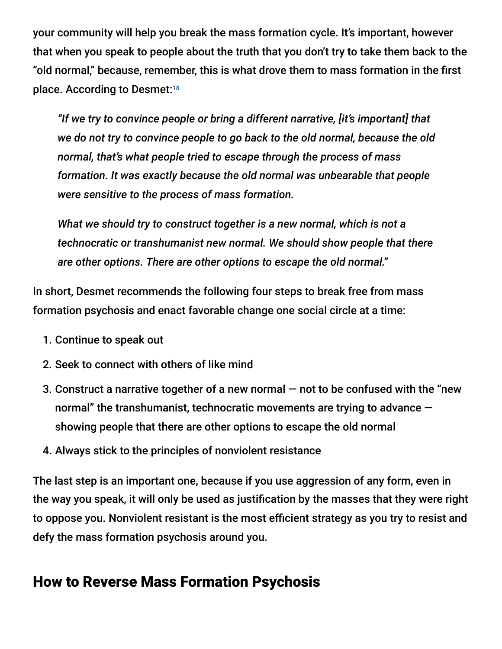your community will help you break the mass formation cycle. It's important, however that when you speak to people about the truth that you don't try to take them back to the "old normal," because, remember, this is what drove them to mass formation in the first place. According to Desmet: 18

*"If we try to convince people or bring a different narrative, [it's important] that we do not try to convince people to go back to the old normal, because the old normal, that's what people tried to escape through the process of mass formation. It was exactly because the old normal was unbearable that people were sensitive to the process of mass formation.*

*What we should try to construct together is a new normal, which is not a technocratic or transhumanist new normal. We should show people that there are other options. There are other options to escape the old normal."*

In short, Desmet recommends the following four steps to break free from mass formation psychosis and enact favorable change one social circle at a time:

- 1. Continue to speak out
- 2. Seek to connect with others of like mind
- 3. Construct a narrative together of a new normal  $-$  not to be confused with the "new normal" the transhumanist, technocratic movements are trying to advance showing people that there are other options to escape the old normal
- 4. Always stick to the principles of nonviolent resistance

The last step is an important one, because if you use aggression of any form, even in the way you speak, it will only be used as justification by the masses that they were right to oppose you. Nonviolent resistant is the most efficient strategy as you try to resist and defy the mass formation psychosis around you.

#### How to Reverse Mass Formation Psychosis